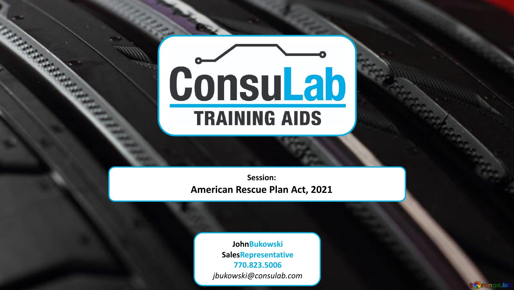# **Consulab**

Session: American Rescue Plan Act, 2021

> **JohnBukowski** SalesRepresentative 770.823.5006 jbukowski@consulab.com

> > **My ange bi**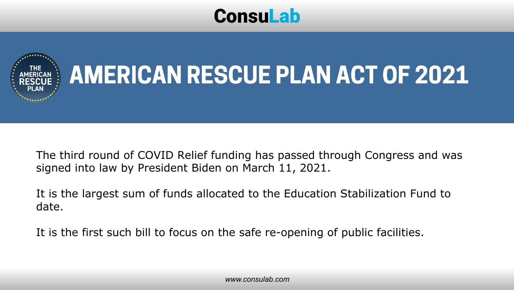### ConsuLab



## **AMERICAN RESCUE PLAN ACT OF 2021**

The third round of COVID Relief funding has passed through Congress and was signed into law by President Biden on March 11, 2021.

It is the largest sum of funds allocated to the Education Stabilization Fund to date.

It is the first such bill to focus on the safe re-opening of public facilities.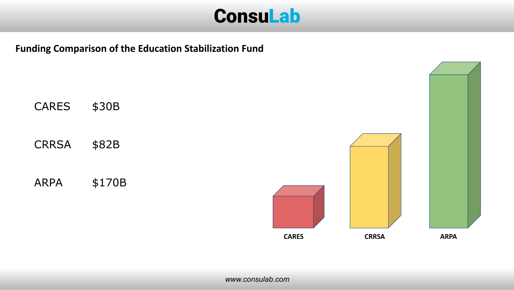

Funding Comparison of the Education Stabilization Fund

| <b>CARES</b> | \$30B  |
|--------------|--------|
| CRRSA        | \$82B  |
| ARPA         | \$170B |

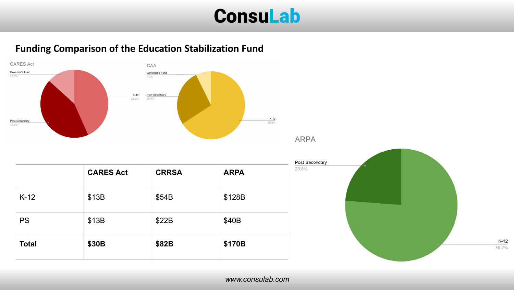

**ARPA** 

#### Funding Comparison of the Education Stabilization Fund





 $K-12$ 76.2%

| <b>Total</b> | \$30B            | \$82B        | \$170B      |
|--------------|------------------|--------------|-------------|
| <b>PS</b>    | \$13B            | \$22B        | \$40B       |
| $K-12$       | \$13B            | \$54B        | \$128B      |
|              | <b>CARES Act</b> | <b>CRRSA</b> | <b>ARPA</b> |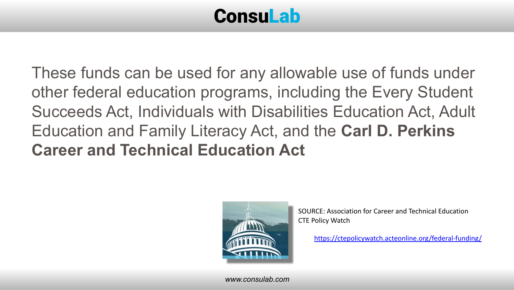## ConsuLab

These funds can be used for any allowable use of funds under other federal education programs, including the Every Student Succeeds Act, Individuals with Disabilities Education Act, Adult Education and Family Literacy Act, and the Carl D. Perkins Career and Technical Education Act



SOURCE: Association for Career and Technical Education CTE Policy Watch

<https://ctepolicywatch.acteonline.org/federal-funding/>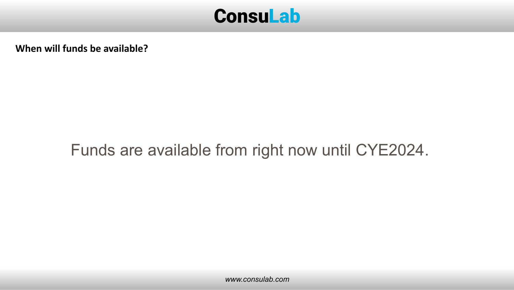

When will funds be available?

#### Funds are available from right now until CYE2024.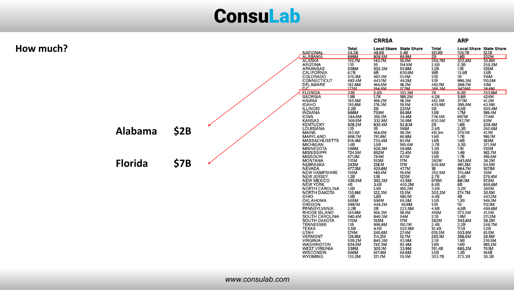### **Consulab**

|           |                |      |                                                                             |                       | <b>CRRSA</b>                            |                  |                        | <b>ARP</b>                               |                 |
|-----------|----------------|------|-----------------------------------------------------------------------------|-----------------------|-----------------------------------------|------------------|------------------------|------------------------------------------|-----------------|
| How much? |                |      | <b>NATIONAL</b>                                                             | <b>Total</b><br>54.3B | <b>Local Share State Share</b><br>48.8B | 5.4B             | <b>Total</b><br>121.9B | <b>Local Share State Share</b><br>109.7B | 12.1B           |
|           |                |      | <b>ALABAMA</b>                                                              | 899M                  | 809.5M                                  | 89.9M            | 2B                     | 1.8B                                     | 202M            |
|           |                |      | <b>ALASKA</b>                                                               | 159.7M                | 143.7M                                  | 15.9M            | 358.7M                 | 322.8M                                   | 35.8M           |
|           |                |      | <b>ARIZONA</b>                                                              | 1.1B                  | 1B                                      | 114.9M           | 2.6B                   | 2.3B                                     | 258.2M          |
|           |                |      | <b>ARKANSAS</b>                                                             | 558M                  | 502.2M                                  | 55.8M            | 1.2B                   | 1.1B                                     | 125M            |
|           |                |      | <b>CALIFORNIA</b>                                                           | 6.7B                  | 6B                                      | 670.9M           | 15B                    | 13.5B                                    | 1.5B            |
|           |                |      | COLORADO                                                                    | 519.3M                | 467.3M                                  | 51.9M            | 1.1B                   | 1B                                       | 116M            |
|           |                |      | <b>CONNECTICUT</b>                                                          | 492.4M                | 443.1M                                  | 49.2M            | 1.1B                   | 995.3M                                   | 110.5M          |
|           |                |      | <b>DELAWARE</b>                                                             | 182.8M                | 164.6M                                  | 18.2M            | 410.7M                 | 369.7M                                   | 41M             |
|           |                |      | D.C.<br><b>FLORIDA</b>                                                      | 172M<br>3.1B          | 154.8M<br>2.8B                          | 17.2M<br>313.3M  | 386.3M<br>7B           | 347.6M<br>6.3B                           | 38.6M<br>703.8M |
|           |                |      | <b>GEORGIA</b>                                                              | 1.9B                  | 1.7B                                    | 189.2M           | 4.2B                   | 3.8B                                     | 424M            |
|           |                |      | <b>HAWAII</b>                                                               | 183.5M                | 165.2M                                  | 18.3M            | 412.3M                 | 371M                                     | 41.2M           |
|           |                |      | <b>IDAHO</b>                                                                | 195.8M                | 176.3M                                  | 19.5M            | 439.9M                 | 395.9M                                   | 43.9M           |
|           |                |      | <b>ILLINOIS</b>                                                             | 2.2B                  | 2B                                      | 225M             | 5B                     | 4.5B                                     | 505.4M          |
|           |                |      | <b>INDIANA</b>                                                              | 888M                  | 799M                                    | 88.8M            | 1.9B                   | 1.7M                                     | 199.4M          |
|           |                |      | <b>IOWA</b>                                                                 | 344.8M                | 310.3M                                  | 34.4M            | 774.5M                 | 697M                                     | 77.4M           |
|           |                |      | <b>KANSAS</b>                                                               | 369.8M                | 332.8M                                  | 36.9M            | 830.5M                 | 747.7M                                   | 83M             |
|           |                |      | <b>KENTUCKY</b>                                                             | 928.2M                | 835.4M                                  | 92.8.M           | 2B                     | 1.8B                                     | 208.4M          |
|           | <b>Alabama</b> | \$2B | LOUISIANA                                                                   | 1.1B                  | 1B                                      | 116M             | 2.6B                   | 2.3B                                     | 260.5M          |
|           |                |      | <b>MAINE</b>                                                                | 183.1M                | 164.8M                                  | 18.3M            | 411.3m                 | 370.1M                                   | 41.1M           |
|           |                |      | MARYLAND<br>MASSACHUSETTS                                                   | 868.7M<br>818.4M      | 781.8M<br>733.4M                        | 86.8M<br>81.4M   | 1.9B<br>1.8B           | 1.7B<br>1.6B                             | 195.1M<br>183M  |
|           |                |      |                                                                             | 1.6B                  | 1.5B                                    | 165.6M           | 3.7B                   | 3.3B                                     | 371.9M          |
|           |                |      | MICHIGAN<br>MINNESOTA<br>MISSISSIPPI                                        | 588M                  | 529.3M                                  | 58.8M            | 1.3B                   | 1.1B                                     | 132M            |
|           |                |      |                                                                             | 724.5M                | 652M                                    | 72.4M            | 1.6B                   | 1.4B                                     | 162.7M          |
|           |                |      | <b>MISSOURI</b><br>MONTANA                                                  | 871.1M                | 784M                                    | 87.1M            | 1.9B                   | 1.7B                                     | 195.6M          |
|           |                |      |                                                                             | 170M                  | 153M                                    | 17M              | 382M                   | 343.8M                                   | 38.2M           |
|           | <b>Florida</b> | \$7B | <b>NEBRASKA</b>                                                             | 243M                  | 218.M                                   | 17M              | 545.9M                 | 491.3M                                   | 54.5M           |
|           |                |      | <b>NEVADA</b>                                                               | 477.3M                | 429.6M                                  | 47.7M            | 1B                     | 964.7M                                   | 107.1M          |
|           |                |      | NEW HAMPSHIRE<br>NEW JERSEY<br>NEW MEXICO                                   | 156M                  | 140.4M                                  | 15.6M            | 350.5M                 | 315.4M                                   | 35M             |
|           |                |      |                                                                             | 1.2B                  | 1.1B                                    | 123M             | 2.7B                   | 2.4B                                     | 276.4M          |
|           |                |      | <b>NEW YORK</b>                                                             | 435.9M                | 392.3M                                  | 43.5M            | 979M                   | 881.1M                                   | 97.9M           |
|           |                |      | <b>NORTH CAROLINA</b>                                                       | 4B<br>1.6B            | 3.6B<br>1.4B                            | 400.2M<br>160.2M | 8.9B<br>3.6B           | 8B<br>3.2B                               | 898.8M<br>360M  |
|           |                |      | <b>NORTH DAKOTA</b>                                                         | 135.9M                | 122.3M                                  | 13.5M            | 305.2M                 | 274.7M                                   | 30.5M           |
|           |                |      | OHIO                                                                        | 1.9B                  | 1.8B                                    | 199.1M           | 4.4B                   | 4B                                       | 447.2M          |
|           |                |      | OKLAHOMA                                                                    | 665M                  | 598M                                    | 66.5M            | 1.5B                   | 1.3B                                     | 149.3M          |
|           |                |      | OREGON                                                                      | 499.1M                | 449.2M                                  | 49.9M            | 1.1B                   | 1B                                       | 112.1M          |
|           |                |      | PENNSYLVANIA<br>RHODE ISLAND<br>SOUTH CAROLINA<br>SOUTH DAKOTA<br>TENNESSEE | 2.2B                  | 2B                                      | 222.5M           | 4.9B                   | 4.5B                                     | 499.6M          |
|           |                |      |                                                                             | 184.8M                | 166.3M                                  | 18.4M            | 415M                   | 373.5M                                   | 41.5M           |
|           |                |      |                                                                             | 940.4M                | 846.3M                                  | 94M              | 2.1B                   | 1.9M                                     | 211.2M          |
|           |                |      |                                                                             | 170M                  | 153M                                    | 17M              | 382M                   | 343.8M                                   | 38.2M           |
|           |                |      |                                                                             | 1.1B                  | 996.8M                                  | 110.7M           | 2.4B                   | 2.2B                                     | 248.7M          |
|           |                |      | <b>TEXAS</b><br><b>UTAH</b>                                                 | 5.5B<br>274M          | 4.9B<br>246.6M                          | 552.9M<br>27.4M  | 12.4B<br>615.5M        | 11.1B<br>553.9M                          | 1.2B<br>61.5M   |
|           |                |      | <b>VERMONT</b>                                                              | 126.9M                | 114.2M                                  | 12.7M            | 285.1M                 | 256.6M                                   | 28.5M           |
|           |                |      | <b>VIRGINIA</b>                                                             | 939.2M                | 845.3M                                  | 93.9M            | 2.1B                   | 1.9B                                     | 210.9M          |
|           |                |      | <b>WASHINGTON</b>                                                           | 824.8M                | 742.3M                                  | 82.4M            | 1.8B                   | 1.6B                                     | 185.2M          |
|           |                |      | <b>WEST VIRGINIA</b>                                                        | 339M                  | 305.1M                                  | 33.9M            | 761.4B                 | 685.2M                                   | 76.1M           |
|           |                |      | <b>WISCONSIN</b>                                                            | 686M                  | 617.4M                                  | 68.6M            | 1.5B                   | 1.3B                                     | 154B            |
|           |                |      | <b>WYOMING</b>                                                              | 135.2M                | 121.7M                                  | 13.5M            | 303.7B                 | 273.3B                                   | 30.3B           |
|           |                |      |                                                                             |                       |                                         |                  |                        |                                          |                 |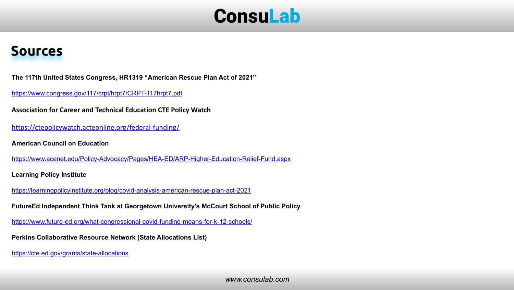

#### Sources

The 117th United States Congress, HR1319 "American Rescue Plan Act of 2021"

<https://www.congress.gov/117/crpt/hrpt7/CRPT-117hrpt7.pdf>

Association for Career and Technical Education CTE Policy Watch

<https://ctepolicywatch.acteonline.org/federal-funding/>

American Council on Education

<https://www.acenet.edu/Policy-Advocacy/Pages/HEA-ED/ARP-Higher-Education-Relief-Fund.aspx>

Learning Policy Institute

<https://learningpolicyinstitute.org/blog/covid-analysis-american-rescue-plan-act-2021>

FutureEd Independent Think Tank at Georgetown University's McCourt School of Public Policy

<https://www.future-ed.org/what-congressional-covid-funding-means-for-k-12-schools/>

Perkins Collaborative Resource Network (State Allocations List)

<https://cte.ed.gov/grants/state-allocations>